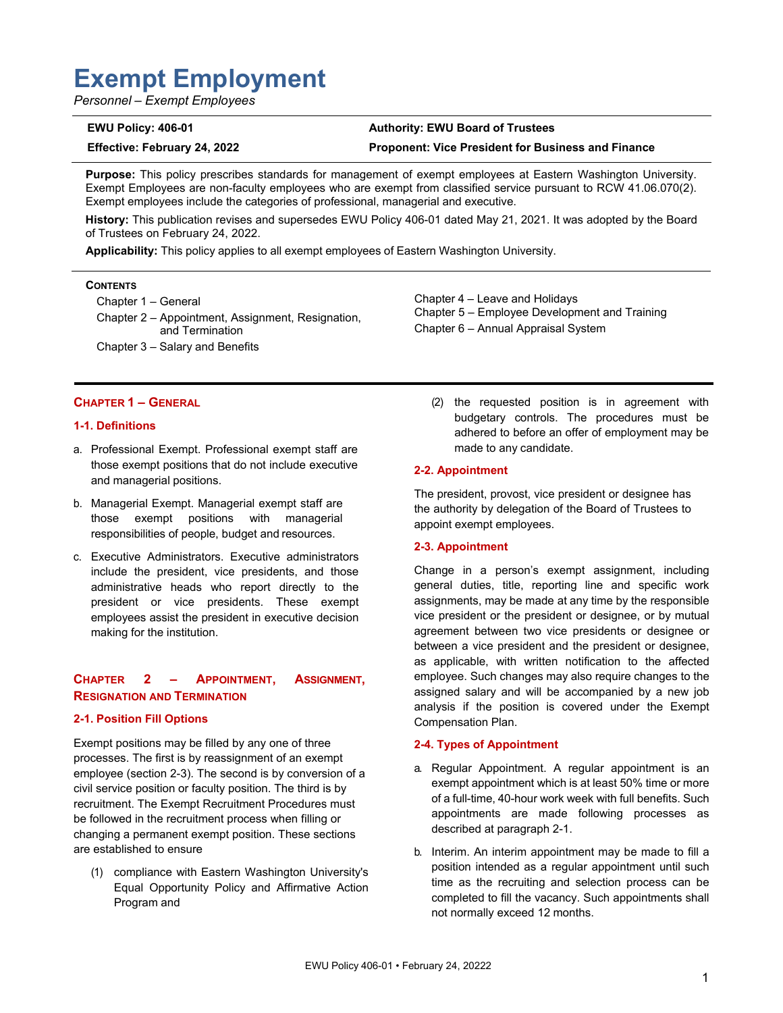# **Exempt Employment**

*Personnel – Exempt Employees* 

#### **EWU Policy: 406-01 Authority: EWU Board of Trustees**

**Effective: February 24, 2022 Proponent: Vice President for Business and Finance** 

Chapter 4 – Leave and Holidays

Chapter 6 – Annual Appraisal System

made to any candidate.

Chapter 5 – Employee Development and Training

**Purpose:** This policy prescribes standards for management of exempt employees at Eastern Washington University. Exempt Employees are non-faculty employees who are exempt from classified service pursuant to RCW 41.06.070(2). Exempt employees include the categories of professional, managerial and executive.

**History:** This publication revises and supersedes EWU Policy 406-01 dated May 21, 2021. It was adopted by the Board of Trustees on February 24, 2022.

**Applicability:** This policy applies to all exempt employees of Eastern Washington University.

#### **CONTENTS**

Chapter 1 – General

Chapter 2 – Appointment, Assignment, Resignation, and Termination Chapter 3 – Salary and Benefits

#### **CHAPTER 1 – GENERAL**

#### **1-1. Definitions**

- a. Professional Exempt. Professional exempt staff are those exempt positions that do not include executive and managerial positions.
- b. Managerial Exempt. Managerial exempt staff are those exempt positions with managerial responsibilities of people, budget and resources.
- c. Executive Administrators. Executive administrators include the president, vice presidents, and those administrative heads who report directly to the president or vice presidents. These exempt employees assist the president in executive decision making for the institution.

#### **CHAPTER 2 – APPOINTMENT, ASSIGNMENT, RESIGNATION AND TERMINATION**

#### **2-1. Position Fill Options**

Exempt positions may be filled by any one of three processes. The first is by reassignment of an exempt employee (section 2-3). The second is by conversion of a civil service position or faculty position. The third is by recruitment. The Exempt Recruitment Procedures must be followed in the recruitment process when filling or changing a permanent exempt position. These sections are established to ensure

(1) compliance with Eastern Washington University's Equal Opportunity Policy and Affirmative Action Program and

(2) the requested position is in agreement with budgetary controls. The procedures must be adhered to before an offer of employment may be

#### **2-2. Appointment**

The president, provost, vice president or designee has the authority by delegation of the Board of Trustees to appoint exempt employees.

#### **2-3. Appointment**

Change in a person's exempt assignment, including general duties, title, reporting line and specific work assignments, may be made at any time by the responsible vice president or the president or designee, or by mutual agreement between two vice presidents or designee or between a vice president and the president or designee, as applicable, with written notification to the affected employee. Such changes may also require changes to the assigned salary and will be accompanied by a new job analysis if the position is covered under the Exempt Compensation Plan.

#### **2-4. Types of Appointment**

- a. Regular Appointment. A regular appointment is an exempt appointment which is at least 50% time or more of a full-time, 40-hour work week with full benefits. Such appointments are made following processes as described at paragraph 2-1.
- b. Interim. An interim appointment may be made to fill a position intended as a regular appointment until such time as the recruiting and selection process can be completed to fill the vacancy. Such appointments shall not normally exceed 12 months.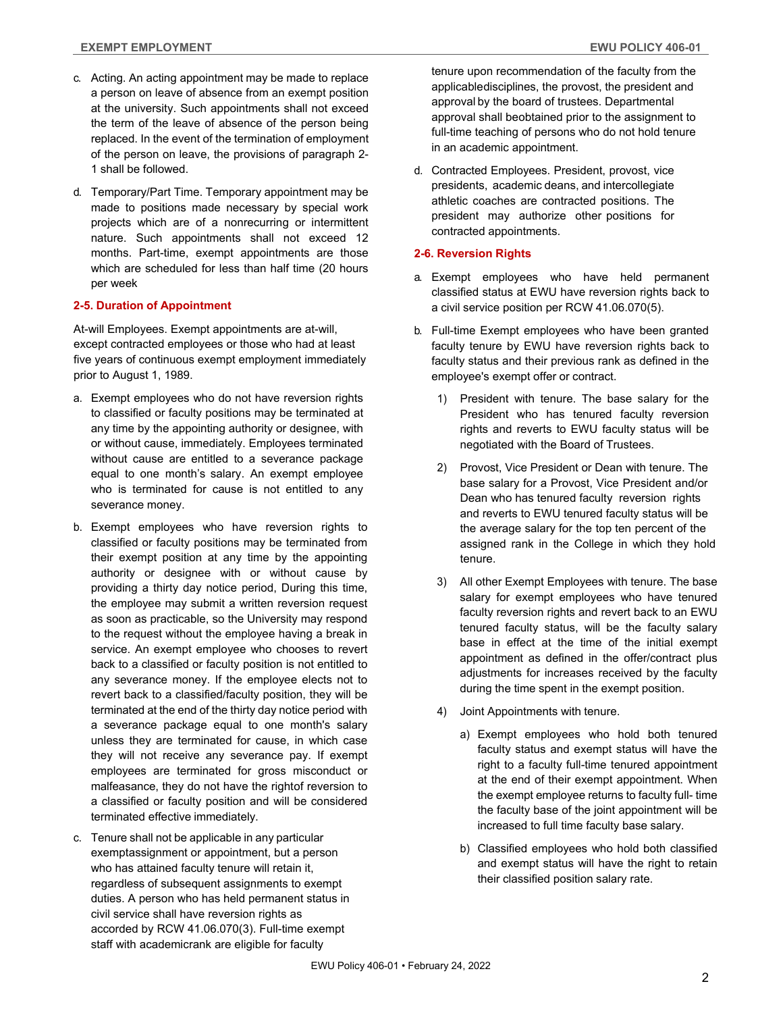- c. Acting. An acting appointment may be made to replace a person on leave of absence from an exempt position at the university. Such appointments shall not exceed the term of the leave of absence of the person being replaced. In the event of the termination of employment of the person on leave, the provisions of paragraph 2- 1 shall be followed.
- d. Temporary/Part Time. Temporary appointment may be made to positions made necessary by special work projects which are of a nonrecurring or intermittent nature. Such appointments shall not exceed 12 months. Part-time, exempt appointments are those which are scheduled for less than half time (20 hours per week

#### **2-5. Duration of Appointment**

At-will Employees. Exempt appointments are at-will, except contracted employees or those who had at least five years of continuous exempt employment immediately prior to August 1, 1989.

- a. Exempt employees who do not have reversion rights to classified or faculty positions may be terminated at any time by the appointing authority or designee, with or without cause, immediately. Employees terminated without cause are entitled to a severance package equal to one month's salary. An exempt employee who is terminated for cause is not entitled to any severance money.
- b. Exempt employees who have reversion rights to classified or faculty positions may be terminated from their exempt position at any time by the appointing authority or designee with or without cause by providing a thirty day notice period, During this time, the employee may submit a written reversion request as soon as practicable, so the University may respond to the request without the employee having a break in service. An exempt employee who chooses to revert back to a classified or faculty position is not entitled to any severance money. If the employee elects not to revert back to a classified/faculty position, they will be terminated at the end of the thirty day notice period with a severance package equal to one month's salary unless they are terminated for cause, in which case they will not receive any severance pay. If exempt employees are terminated for gross misconduct or malfeasance, they do not have the right of reversion to a classified or faculty position and will be considered terminated effective immediately.
- c. Tenure shall not be applicable in any particular exempt assignment or appointment, but a person who has attained faculty tenure will retain it, regardless of subsequent assignments to exempt duties. A person who has held permanent status in civil service shall have reversion rights as accorded by RCW 41.06.070(3). Full-time exempt staff with academicrank are eligible for faculty

tenure upon recommendation of the faculty from the applicable disciplines, the provost, the president and approval by the board of trustees. Departmental approval shall beobtained prior to the assignment to full-time teaching of persons who do not hold tenure in an academic appointment.

d. Contracted Employees. President, provost, vice presidents, academic deans, and intercollegiate athletic coaches are contracted positions. The president may authorize other positions for contracted appointments.

#### **2-6. Reversion Rights**

- a. Exempt employees who have held permanent classified status at EWU have reversion rights back to a civil service position per RCW 41.06.070(5).
- b. Full-time Exempt employees who have been granted faculty tenure by EWU have reversion rights back to faculty status and their previous rank as defined in the employee's exempt offer or contract.
	- 1) President with tenure. The base salary for the President who has tenured faculty reversion rights and reverts to EWU faculty status will be negotiated with the Board of Trustees.
	- 2) Provost, Vice President or Dean with tenure. The base salary for a Provost, Vice President and/or Dean who has tenured faculty reversion rights and reverts to EWU tenured faculty status will be the average salary for the top ten percent of the assigned rank in the College in which they hold tenure.
	- 3) All other Exempt Employees with tenure. The base salary for exempt employees who have tenured faculty reversion rights and revert back to an EWU tenured faculty status, will be the faculty salary base in effect at the time of the initial exempt appointment as defined in the offer/contract plus adjustments for increases received by the faculty during the time spent in the exempt position.
	- 4) Joint Appointments with tenure.
		- a) Exempt employees who hold both tenured faculty status and exempt status will have the right to a faculty full-time tenured appointment at the end of their exempt appointment. When the exempt employee returns to faculty full- time the faculty base of the joint appointment will be increased to full time faculty base salary.
		- b) Classified employees who hold both classified and exempt status will have the right to retain their classified position salary rate.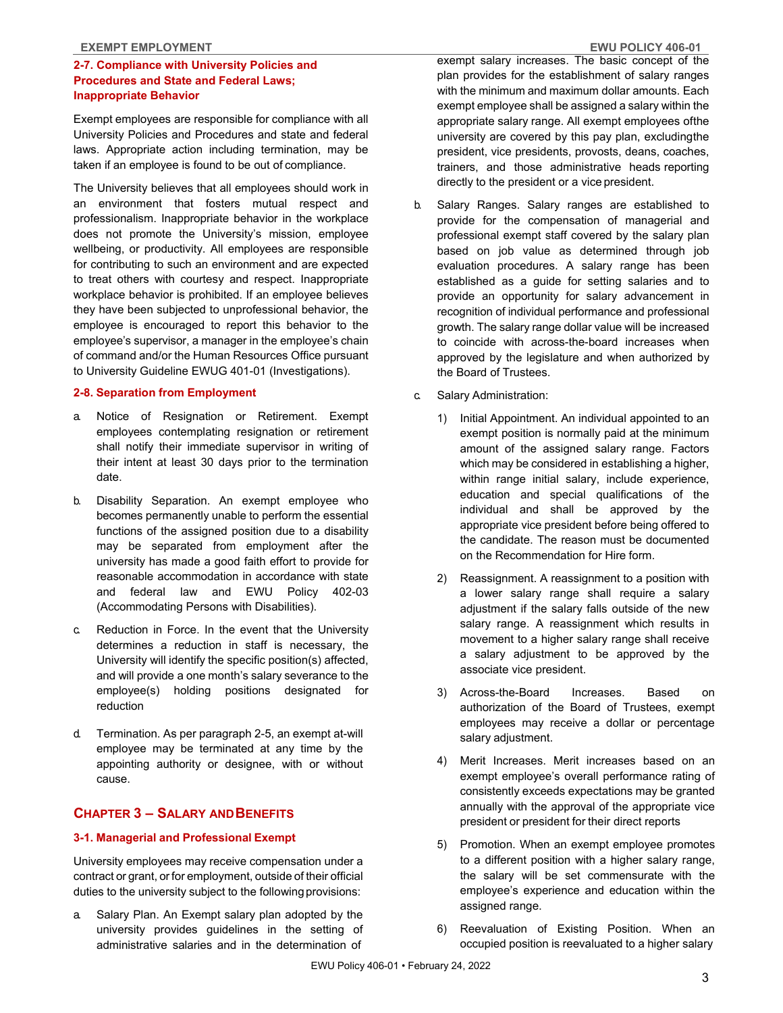#### **2-7. Compliance with University Policies and Procedures and State and Federal Laws; Inappropriate Behavior**

Exempt employees are responsible for compliance with all University Policies and Procedures and state and federal laws. Appropriate action including termination, may be taken if an employee is found to be out of compliance.

The University believes that all employees should work in an environment that fosters mutual respect and professionalism. Inappropriate behavior in the workplace does not promote the University's mission, employee wellbeing, or productivity. All employees are responsible for contributing to such an environment and are expected to treat others with courtesy and respect. Inappropriate workplace behavior is prohibited. If an employee believes they have been subjected to unprofessional behavior, the employee is encouraged to report this behavior to the employee's supervisor, a manager in the employee's chain of command and/or the Human Resources Office pursuant to University Guideline EWUG 401-01 (Investigations).

#### **2-8. Separation from Employment**

- a. Notice of Resignation or Retirement. Exempt employees contemplating resignation or retirement shall notify their immediate supervisor in writing of their intent at least 30 days prior to the termination date.
- b. Disability Separation. An exempt employee who becomes permanently unable to perform the essential functions of the assigned position due to a disability may be separated from employment after the university has made a good faith effort to provide for reasonable accommodation in accordance with state and federal law and EWU Policy 402-03 (Accommodating Persons with Disabilities).
- c. Reduction in Force. In the event that the University determines a reduction in staff is necessary, the University will identify the specific position(s) affected, and will provide a one month's salary severance to the employee(s) holding positions designated for reduction
- d. Termination. As per paragraph 2-5, an exempt at-will employee may be terminated at any time by the appointing authority or designee, with or without cause.

#### **CHAPTER 3 – SALARY AND BENEFITS**

#### **3-1. Managerial and Professional Exempt**

University employees may receive compensation under a contract or grant, or for employment, outside of their official duties to the university subject to the following provisions:

a. Salary Plan. An Exempt salary plan adopted by the university provides guidelines in the setting of administrative salaries and in the determination of

exempt salary increases. The basic concept of the plan provides for the establishment of salary ranges with the minimum and maximum dollar amounts. Each exempt employee shall be assigned a salary within the appropriate salary range. All exempt employees of the university are covered by this pay plan, excluding the president, vice presidents, provosts, deans, coaches, trainers, and those administrative heads reporting directly to the president or a vice president.

- b. Salary Ranges. Salary ranges are established to provide for the compensation of managerial and professional exempt staff covered by the salary plan based on job value as determined through job evaluation procedures. A salary range has been established as a guide for setting salaries and to provide an opportunity for salary advancement in recognition of individual performance and professional growth. The salary range dollar value will be increased to coincide with across-the-board increases when approved by the legislature and when authorized by the Board of Trustees.
- c. Salary Administration:
	- 1) Initial Appointment. An individual appointed to an exempt position is normally paid at the minimum amount of the assigned salary range. Factors which may be considered in establishing a higher, within range initial salary, include experience, education and special qualifications of the individual and shall be approved by the appropriate vice president before being offered to the candidate. The reason must be documented on the Recommendation for Hire form.
	- 2) Reassignment. A reassignment to a position with a lower salary range shall require a salary adjustment if the salary falls outside of the new salary range. A reassignment which results in movement to a higher salary range shall receive a salary adjustment to be approved by the associate vice president.
	- 3) Across-the-Board Increases. Based on authorization of the Board of Trustees, exempt employees may receive a dollar or percentage salary adjustment.
	- 4) Merit Increases. Merit increases based on an exempt employee's overall performance rating of consistently exceeds expectations may be granted annually with the approval of the appropriate vice president or president for their direct reports
	- 5) Promotion. When an exempt employee promotes to a different position with a higher salary range, the salary will be set commensurate with the employee's experience and education within the assigned range.
	- 6) Reevaluation of Existing Position. When an occupied position is reevaluated to a higher salary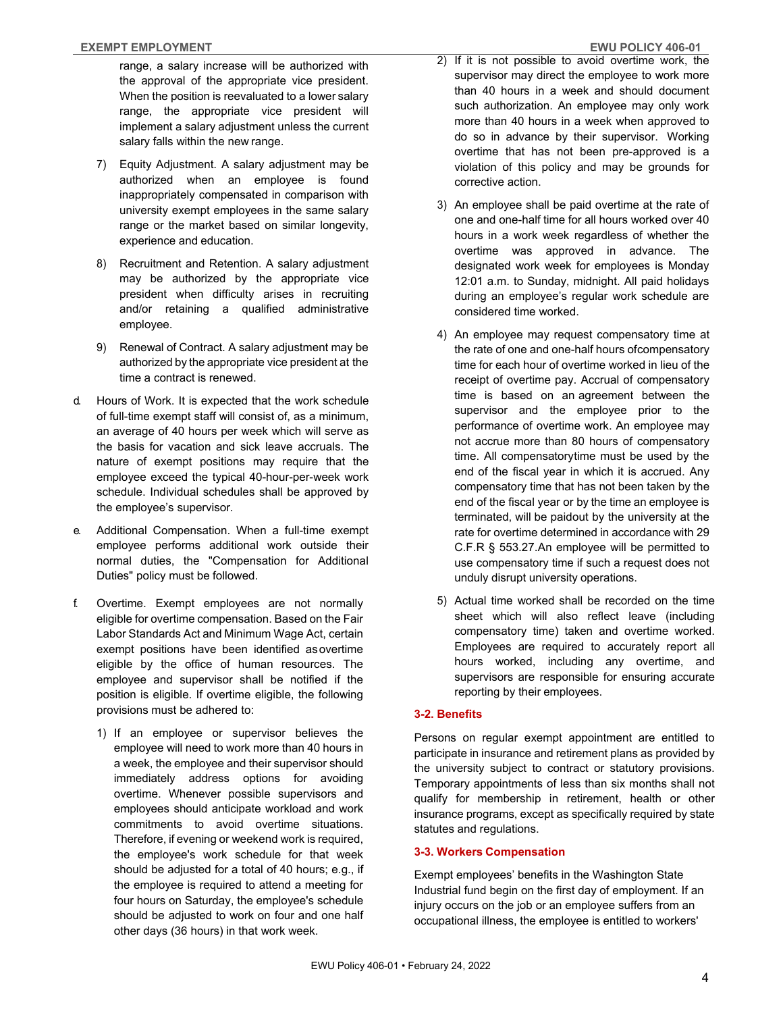range, a salary increase will be authorized with the approval of the appropriate vice president. When the position is reevaluated to a lower salary range, the appropriate vice president will implement a salary adjustment unless the current salary falls within the new range.

- 7) Equity Adjustment. A salary adjustment may be authorized when an employee is found inappropriately compensated in comparison with university exempt employees in the same salary range or the market based on similar longevity, experience and education.
- 8) Recruitment and Retention. A salary adjustment may be authorized by the appropriate vice president when difficulty arises in recruiting and/or retaining a qualified administrative employee.
- 9) Renewal of Contract. A salary adjustment may be authorized by the appropriate vice president at the time a contract is renewed.
- d. Hours of Work. It is expected that the work schedule of full-time exempt staff will consist of, as a minimum, an average of 40 hours per week which will serve as the basis for vacation and sick leave accruals. The nature of exempt positions may require that the employee exceed the typical 40-hour-per-week work schedule. Individual schedules shall be approved by the employee's supervisor.
- e. Additional Compensation. When a full-time exempt employee performs additional work outside their normal duties, the "Compensation for Additional Duties" policy must be followed.
- f. Overtime. Exempt employees are not normally eligible for overtime compensation. Based on the Fair Labor Standards Act and Minimum Wage Act, certain exempt positions have been identified as overtime eligible by the office of human resources. The employee and supervisor shall be notified if the position is eligible. If overtime eligible, the following provisions must be adhered to:
	- 1) If an employee or supervisor believes the employee will need to work more than 40 hours in a week, the employee and their supervisor should immediately address options for avoiding overtime. Whenever possible supervisors and employees should anticipate workload and work commitments to avoid overtime situations. Therefore, if evening or weekend work is required, the employee's work schedule for that week should be adjusted for a total of 40 hours; e.g., if the employee is required to attend a meeting for four hours on Saturday, the employee's schedule should be adjusted to work on four and one half other days (36 hours) in that work week.
- 2) If it is not possible to avoid overtime work, the supervisor may direct the employee to work more than 40 hours in a week and should document such authorization. An employee may only work more than 40 hours in a week when approved to do so in advance by their supervisor. Working overtime that has not been pre-approved is a violation of this policy and may be grounds for corrective action.
- 3) An employee shall be paid overtime at the rate of one and one-half time for all hours worked over 40 hours in a work week regardless of whether the overtime was approved in advance. The designated work week for employees is Monday 12:01 a.m. to Sunday, midnight. All paid holidays during an employee's regular work schedule are considered time worked.
- 4) An employee may request compensatory time at the rate of one and one-half hours of compensatory time for each hour of overtime worked in lieu of the receipt of overtime pay. Accrual of compensatory time is based on an agreement between the supervisor and the employee prior to the performance of overtime work. An employee may not accrue more than 80 hours of compensatory time. All compensatory time must be used by the end of the fiscal year in which it is accrued. Any compensatory time that has not been taken by the end of the fiscal year or by the time an employee is terminated, will be paid out by the university at the rate for overtime determined in accordance with 29 C.F.R § 553.27. An employee will be permitted to use compensatory time if such a request does not unduly disrupt university operations.
- 5) Actual time worked shall be recorded on the time sheet which will also reflect leave (including compensatory time) taken and overtime worked. Employees are required to accurately report all hours worked, including any overtime, and supervisors are responsible for ensuring accurate reporting by their employees.

#### **3-2. Benefits**

Persons on regular exempt appointment are entitled to participate in insurance and retirement plans as provided by the university subject to contract or statutory provisions. Temporary appointments of less than six months shall not qualify for membership in retirement, health or other insurance programs, except as specifically required by state statutes and regulations.

#### **3-3. Workers Compensation**

Exempt employees' benefits in the Washington State Industrial fund begin on the first day of employment. If an injury occurs on the job or an employee suffers from an occupational illness, the employee is entitled to workers'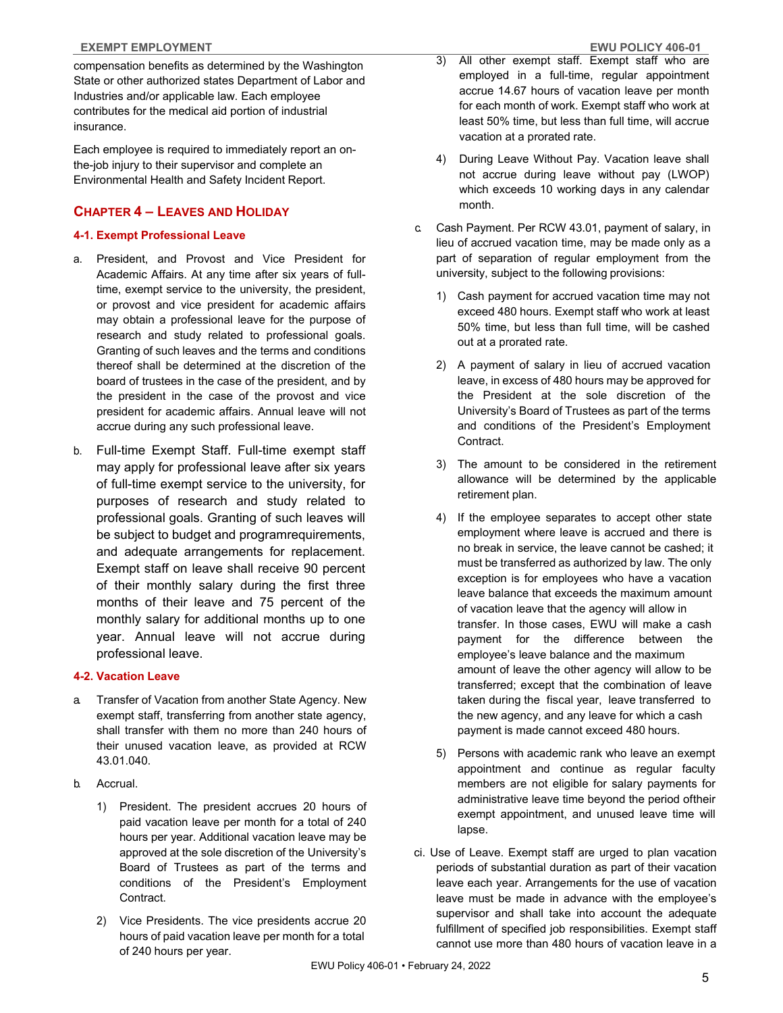compensation benefits as determined by the Washington State or other authorized states Department of Labor and Industries and/or applicable law. Each employee contributes for the medical aid portion of industrial insurance.

Each employee is required to immediately report an onthe-job injury to their supervisor and complete an Environmental Health and Safety Incident Report.

### **CHAPTER 4 – LEAVES AND HOLIDAY**

#### **4-1. Exempt Professional Leave**

- a. President, and Provost and Vice President for Academic Affairs. At any time after six years of fulltime, exempt service to the university, the president, or provost and vice president for academic affairs may obtain a professional leave for the purpose of research and study related to professional goals. Granting of such leaves and the terms and conditions thereof shall be determined at the discretion of the board of trustees in the case of the president, and by the president in the case of the provost and vice president for academic affairs. Annual leave will not accrue during any such professional leave.
- b. Full-time Exempt Staff. Full-time exempt staff may apply for professional leave after six years of full-time exempt service to the university, for purposes of research and study related to professional goals. Granting of such leaves will be subject to budget and program requirements, and adequate arrangements for replacement. Exempt staff on leave shall receive 90 percent of their monthly salary during the first three months of their leave and 75 percent of the monthly salary for additional months up to one year. Annual leave will not accrue during professional leave.

#### **4-2. Vacation Leave**

- a. Transfer of Vacation from another State Agency. New exempt staff, transferring from another state agency, shall transfer with them no more than 240 hours of their unused vacation leave, as provided at RCW 43.01.040.
- b. Accrual.
	- 1) President. The president accrues 20 hours of paid vacation leave per month for a total of 240 hours per year. Additional vacation leave may be approved at the sole discretion of the University's Board of Trustees as part of the terms and conditions of the President's Employment Contract.
	- 2) Vice Presidents. The vice presidents accrue 20 hours of paid vacation leave per month for a total of 240 hours per year.
- 3) All other exempt staff. Exempt staff who are employed in a full-time, regular appointment accrue 14.67 hours of vacation leave per month for each month of work. Exempt staff who work at least 50% time, but less than full time, will accrue vacation at a prorated rate.
- 4) During Leave Without Pay. Vacation leave shall not accrue during leave without pay (LWOP) which exceeds 10 working days in any calendar month.
- c. Cash Payment. Per RCW 43.01, payment of salary, in lieu of accrued vacation time, may be made only as a part of separation of regular employment from the university, subject to the following provisions:
	- 1) Cash payment for accrued vacation time may not exceed 480 hours. Exempt staff who work at least 50% time, but less than full time, will be cashed out at a prorated rate.
	- 2) A payment of salary in lieu of accrued vacation leave, in excess of 480 hours may be approved for the President at the sole discretion of the University's Board of Trustees as part of the terms and conditions of the President's Employment Contract.
	- 3) The amount to be considered in the retirement allowance will be determined by the applicable retirement plan.
	- 4) If the employee separates to accept other state employment where leave is accrued and there is no break in service, the leave cannot be cashed; it must be transferred as authorized by law. The only exception is for employees who have a vacation leave balance that exceeds the maximum amount of vacation leave that the agency will allow in transfer. In those cases, EWU will make a cash payment for the difference between the employee's leave balance and the maximum amount of leave the other agency will allow to be transferred; except that the combination of leave taken during the fiscal year, leave transferred to the new agency, and any leave for which a cash payment is made cannot exceed 480 hours.
	- 5) Persons with academic rank who leave an exempt appointment and continue as regular faculty members are not eligible for salary payments for administrative leave time beyond the period of their exempt appointment, and unused leave time will lapse.
- ci. Use of Leave. Exempt staff are urged to plan vacation periods of substantial duration as part of their vacation leave each year. Arrangements for the use of vacation leave must be made in advance with the employee's supervisor and shall take into account the adequate fulfillment of specified job responsibilities. Exempt staff cannot use more than 480 hours of vacation leave in a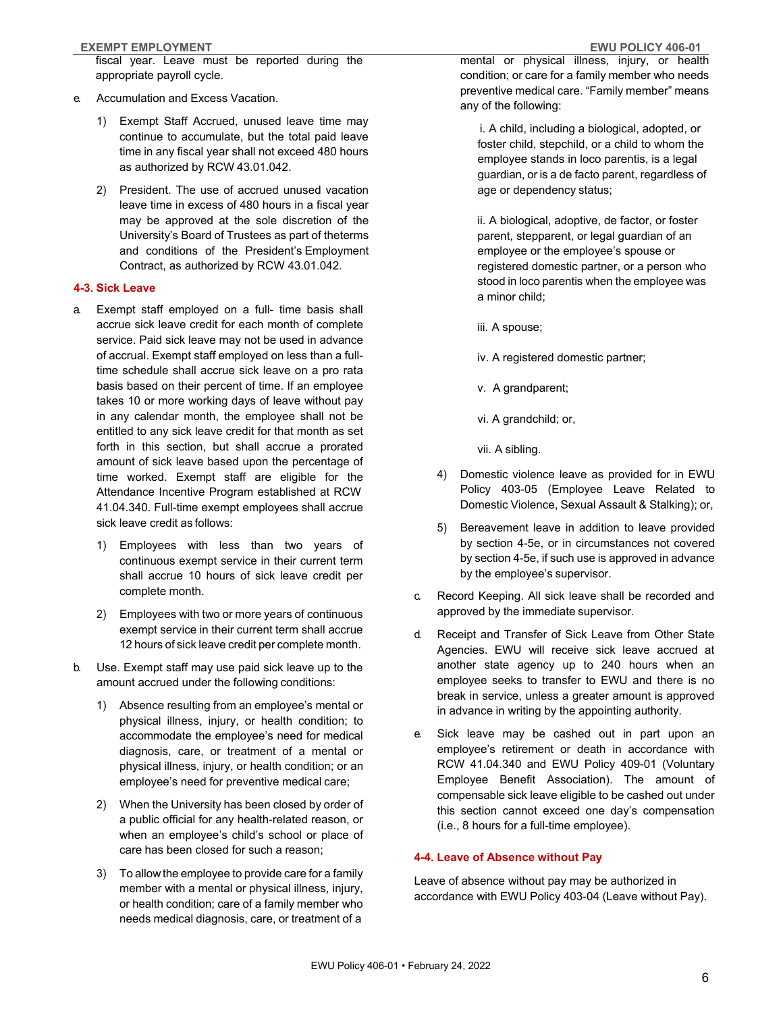#### **EXEMPT EMPLOYMENT EWU POLICY 406-01**

fiscal year. Leave must be reported during the appropriate payroll cycle.

- e. Accumulation and Excess Vacation.
	- 1) Exempt Staff Accrued, unused leave time may continue to accumulate, but the total paid leave time in any fiscal year shall not exceed 480 hours as authorized by RCW 43.01.042.
	- 2) President. The use of accrued unused vacation leave time in excess of 480 hours in a fiscal year may be approved at the sole discretion of the University's Board of Trustees as part of the terms and conditions of the President's Employment Contract, as authorized by RCW 43.01.042.

#### **4-3. Sick Leave**

- a. Exempt staff employed on a full- time basis shall accrue sick leave credit for each month of complete service. Paid sick leave may not be used in advance of accrual. Exempt staff employed on less than a fulltime schedule shall accrue sick leave on a pro rata basis based on their percent of time. If an employee takes 10 or more working days of leave without pay in any calendar month, the employee shall not be entitled to any sick leave credit for that month as set forth in this section, but shall accrue a prorated amount of sick leave based upon the percentage of time worked. Exempt staff are eligible for the Attendance Incentive Program established at RCW 41.04.340. Full-time exempt employees shall accrue sick leave credit as follows:
	- 1) Employees with less than two years of continuous exempt service in their current term shall accrue 10 hours of sick leave credit per complete month.
	- 2) Employees with two or more years of continuous exempt service in their current term shall accrue 12 hours of sick leave credit per complete month.
- b. Use. Exempt staff may use paid sick leave up to the amount accrued under the following conditions:
	- 1) Absence resulting from an employee's mental or physical illness, injury, or health condition; to accommodate the employee's need for medical diagnosis, care, or treatment of a mental or physical illness, injury, or health condition; or an employee's need for preventive medical care;
	- 2) When the University has been closed by order of a public official for any health-related reason, or when an employee's child's school or place of care has been closed for such a reason;
	- 3) To allow the employee to provide care for a family member with a mental or physical illness, injury, or health condition; care of a family member who needs medical diagnosis, care, or treatment of a

mental or physical illness, injury, or health condition; or care for a family member who needs preventive medical care. "Family member" means any of the following:

i. A child, including a biological, adopted, or foster child, stepchild, or a child to whom the employee stands in loco parentis, is a legal guardian, or is a de facto parent, regardless of age or dependency status;

ii. A biological, adoptive, de factor, or foster parent, stepparent, or legal guardian of an employee or the employee's spouse or registered domestic partner, or a person who stood in loco parentis when the employee was a minor child;

iii. A spouse;

iv. A registered domestic partner;

v. A grandparent;

vi. A grandchild; or,

vii. A sibling.

- 4) Domestic violence leave as provided for in EWU Policy 403-05 (Employee Leave Related to Domestic Violence, Sexual Assault & Stalking); or,
- 5) Bereavement leave in addition to leave provided by section 4-5e, or in circumstances not covered by section 4-5e, if such use is approved in advance by the employee's supervisor.
- c. Record Keeping. All sick leave shall be recorded and approved by the immediate supervisor.
- d. Receipt and Transfer of Sick Leave from Other State Agencies. EWU will receive sick leave accrued at another state agency up to 240 hours when an employee seeks to transfer to EWU and there is no break in service, unless a greater amount is approved in advance in writing by the appointing authority.
- e. Sick leave may be cashed out in part upon an employee's retirement or death in accordance with RCW 41.04.340 and EWU Policy 409-01 (Voluntary Employee Benefit Association). The amount of compensable sick leave eligible to be cashed out under this section cannot exceed one day's compensation (i.e., 8 hours for a full-time employee).

#### **4-4. Leave of Absence without Pay**

Leave of absence without pay may be authorized in accordance with EWU Policy 403-04 (Leave without Pay).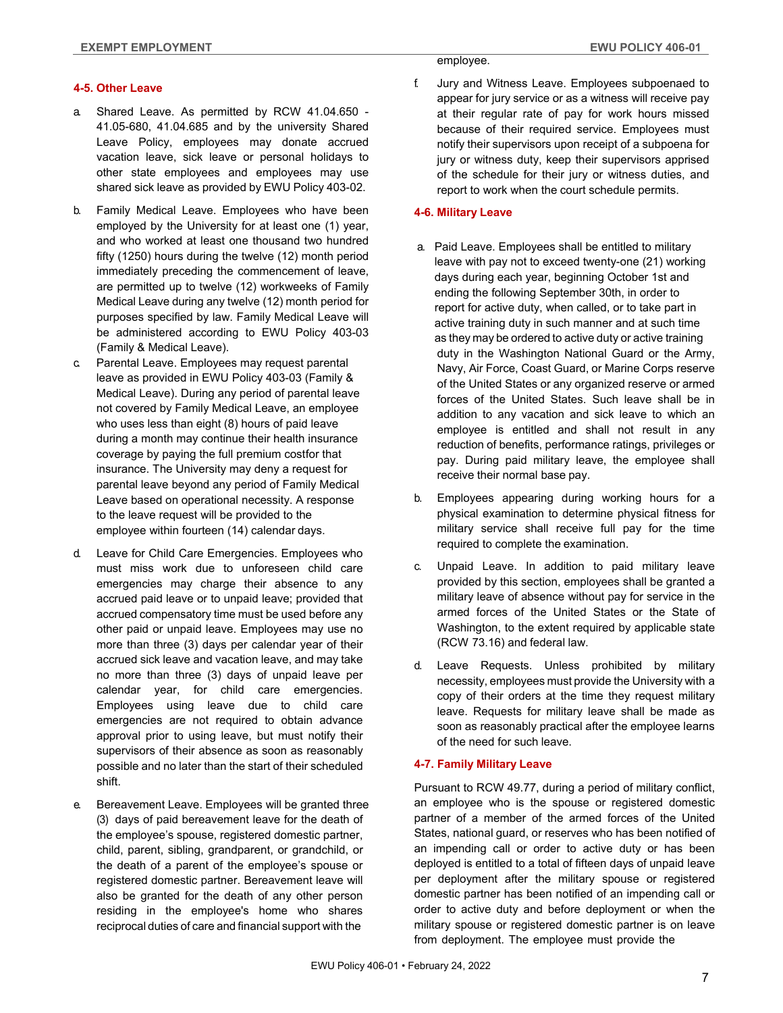#### **4-5. Other Leave**

- a. Shared Leave. As permitted by RCW 41.04.650 41.05-680, 41.04.685 and by the university Shared Leave Policy, employees may donate accrued vacation leave, sick leave or personal holidays to other state employees and employees may use shared sick leave as provided by EWU Policy 403-02.
- b. Family Medical Leave. Employees who have been employed by the University for at least one (1) year, and who worked at least one thousand two hundred fifty (1250) hours during the twelve (12) month period immediately preceding the commencement of leave, are permitted up to twelve (12) workweeks of Family Medical Leave during any twelve (12) month period for purposes specified by law. Family Medical Leave will be administered according to EWU Policy 403-03 (Family & Medical Leave).
- c. Parental Leave. Employees may request parental leave as provided in EWU Policy 403-03 (Family & Medical Leave). During any period of parental leave not covered by Family Medical Leave, an employee who uses less than eight (8) hours of paid leave during a month may continue their health insurance coverage by paying the full premium costfor that insurance. The University may deny a request for parental leave beyond any period of Family Medical Leave based on operational necessity. A response to the leave request will be provided to the employee within fourteen (14) calendar days.
- d. Leave for Child Care Emergencies. Employees who must miss work due to unforeseen child care emergencies may charge their absence to any accrued paid leave or to unpaid leave; provided that accrued compensatory time must be used before any other paid or unpaid leave. Employees may use no more than three (3) days per calendar year of their accrued sick leave and vacation leave, and may take no more than three (3) days of unpaid leave per calendar year, for child care emergencies. Employees using leave due to child care emergencies are not required to obtain advance approval prior to using leave, but must notify their supervisors of their absence as soon as reasonably possible and no later than the start of their scheduled shift.
- e. Bereavement Leave. Employees will be granted three (3) days of paid bereavement leave for the death of the employee's spouse, registered domestic partner, child, parent, sibling, grandparent, or grandchild, or the death of a parent of the employee's spouse or registered domestic partner. Bereavement leave will also be granted for the death of any other person residing in the employee's home who shares reciprocal duties of care and financial support with the

employee.

f. Jury and Witness Leave. Employees subpoenaed to appear for jury service or as a witness will receive pay at their regular rate of pay for work hours missed because of their required service. Employees must notify their supervisors upon receipt of a subpoena for jury or witness duty, keep their supervisors apprised of the schedule for their jury or witness duties, and report to work when the court schedule permits.

#### **4-6. Military Leave**

- a. Paid Leave. Employees shall be entitled to military leave with pay not to exceed twenty-one (21) working days during each year, beginning October 1st and ending the following September 30th, in order to report for active duty, when called, or to take part in active training duty in such manner and at such time as they may be ordered to active duty or active training duty in the Washington National Guard or the Army, Navy, Air Force, Coast Guard, or Marine Corps reserve of the United States or any organized reserve or armed forces of the United States. Such leave shall be in addition to any vacation and sick leave to which an employee is entitled and shall not result in any reduction of benefits, performance ratings, privileges or pay. During paid military leave, the employee shall receive their normal base pay.
- b. Employees appearing during working hours for a physical examination to determine physical fitness for military service shall receive full pay for the time required to complete the examination.
- c. Unpaid Leave. In addition to paid military leave provided by this section, employees shall be granted a military leave of absence without pay for service in the armed forces of the United States or the State of Washington, to the extent required by applicable state (RCW 73.16) and federal law.
- d. Leave Requests. Unless prohibited by military necessity, employees must provide the University with a copy of their orders at the time they request military leave. Requests for military leave shall be made as soon as reasonably practical after the employee learns of the need for such leave.

#### **4-7. Family Military Leave**

Pursuant to RCW 49.77, during a period of military conflict, an employee who is the spouse or registered domestic partner of a member of the armed forces of the United States, national guard, or reserves who has been notified of an impending call or order to active duty or has been deployed is entitled to a total of fifteen days of unpaid leave per deployment after the military spouse or registered domestic partner has been notified of an impending call or order to active duty and before deployment or when the military spouse or registered domestic partner is on leave from deployment. The employee must provide the